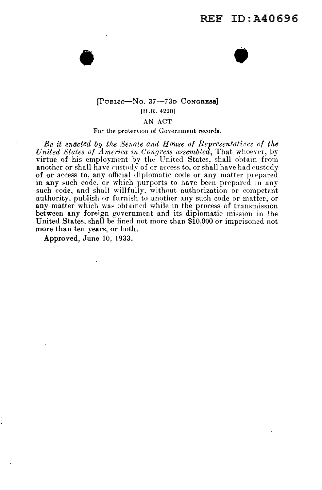### [PUBLIC-No. 37-73D CONGRESS] [R.R. 4220]

 $\bullet$   $\bullet$ 

AN ACT

For the protection of Government records.

*Be it enacted by the Senate and House of Representatives of the United States of America in Congress assembled*, That whoever, by virtue of his employment by the United States, shall obtain from another or shall have custody of or access to, or shall have had custody of or access to, any official diplomatic code or any matter prepared in any such code, or which purports to have been prepared in any such code, and shall willfully, without authorization or competent authority, publish or furnish to another any such code or matter, or any matter which was obtained while in the process of transmission between any foreign government and its diplomatic mission in the United States, shall be fined not more than \$10,000 or imprisoned not more than ten years, or both.

Approved, June 10, 1933.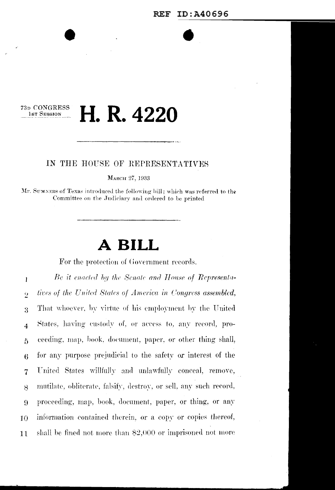#### 73D CONGRESS H. R. 4220 1st Session

#### IN THE HOUSE OF REPRESENTATIVES

MARCH 27, 1933

Mr. SUMNERS of Texas introduced the following bill; which was referred to the Committee on the Judiciary and ordered to be printed

# A BILL

For the protection of Government records.

Be it enacted by the Senate and House of Representa- $\mathbf{l}$ tives of the United States of America in Congress assembled,  $\overline{2}$ That whoever, by virtue of his employment by the United  $\overline{3}$ States, having custody of, or access to, any record, pro- $\overline{4}$ eeeding, map, book, document, paper, or other thing shall,  $\tilde{D}$ for any purpose prejudicial to the safety or interest of the 6 United States willfully and unlawfully conceal, remove,  $\overline{7}$ mutilate, obliterate, falsify, destroy, or sell, any such record, 8 proceeding, map, book, document, paper, or thing, or any 9 information contained therein, or a copy or copies thereof, 10 shall be fined not more than  $$2,000$  or imprisoned not more 11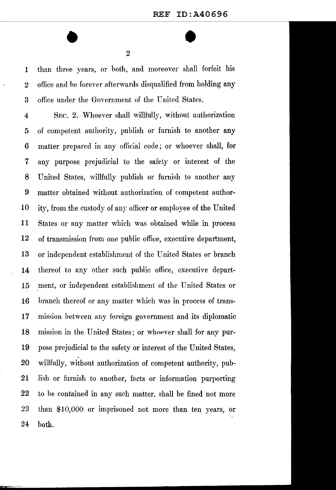$\bullet$   $\bullet$   $\bullet$ 

**1** than three years, or both, and moreover shall forfeit his 2 office and be forever afterwards disqualified from holding any 3 office under the Government of the United States.

4 SEC. 2. Whoever shall willfully, without authorization 5 of competent authority, publish or furnish to another any 6 matter prepared in any official code; or whoever shall, for **7** any purpose prejudicial to the safety or interest of the 8 United States, willfully publish or furnish to another any 9 matter obtained without authorization of competent author-10 ity, from the custody of any officer or employee of the United **11** States or any matter which was obtained while in process 12 of transmission from one public office, executive department, 13 or independent establishment of the United States or branch **14** thereof to any other such public office, executive depart-15 ment, or independent establishment of the United States or 16 branch thereof or any matter which was in process of trans-**17** mission between any foreign government and its diplomatic 18 mission in the United States; or whoever shall for any pur-**19** pose prejudicial to the safety or interest of the United States, . 20 willfully, without authorization of competent authority, pub- . 21 lish or furnish to another, facts or information purporting 22 to be contained in any such matter. shall be fined not more 23 than \$10,000 or imprisoned not more than ten vears, or 24 both.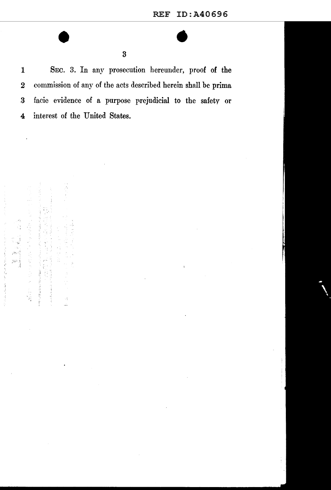1 SEC. 3. In any prosecution hereunder, proof of the 2 commission of any of the acts described herein shall be prima .3 facie evidence of a purpose rrejudicial to the safety or 4 interest of the United States.

"最后可是我能忘了!"  $\mathbb{R}^2$ Ŕ.